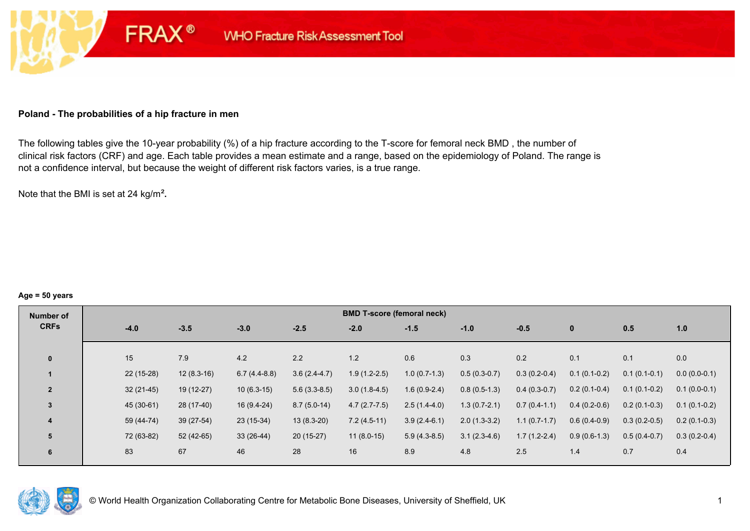#### **Poland - The probabilities of a hip fracture in men**

**FRAX®** 

The following tables give the 10-year probability (%) of a hip fracture according to the T-score for femoral neck BMD , the number of clinical risk factors (CRF) and age. Each table provides a mean estimate and a range, based on the epidemiology of Poland. The range is not a confidence interval, but because the weight of different risk factors varies, is a true range.

Note that the BMI is set at 24 kg/m²**.** 

#### **Age = 50 years**

| Number of      |             |              |                |                | <b>BMD T-score (femoral neck)</b> |                |                |                |                |                |                |
|----------------|-------------|--------------|----------------|----------------|-----------------------------------|----------------|----------------|----------------|----------------|----------------|----------------|
| <b>CRFs</b>    | $-4.0$      | $-3.5$       | $-3.0$         | $-2.5$         | $-2.0$                            | $-1.5$         | $-1.0$         | $-0.5$         | $\mathbf{0}$   | 0.5            | 1.0            |
|                |             |              |                |                |                                   |                |                |                |                |                |                |
| $\mathbf{0}$   | 15          | 7.9          | 4.2            | 2.2            | 1.2                               | 0.6            | 0.3            | 0.2            | 0.1            | 0.1            | 0.0            |
|                | $22(15-28)$ | $12(8.3-16)$ | $6.7(4.4-8.8)$ | $3.6(2.4-4.7)$ | $1.9(1.2-2.5)$                    | $1.0(0.7-1.3)$ | $0.5(0.3-0.7)$ | $0.3(0.2-0.4)$ | $0.1(0.1-0.2)$ | $0.1(0.1-0.1)$ | $0.0(0.0-0.1)$ |
| $\overline{2}$ | $32(21-45)$ | $19(12-27)$  | $10(6.3-15)$   | $5.6(3.3-8.5)$ | $3.0(1.8-4.5)$                    | $1.6(0.9-2.4)$ | $0.8(0.5-1.3)$ | $0.4(0.3-0.7)$ | $0.2(0.1-0.4)$ | $0.1(0.1-0.2)$ | $0.1(0.0-0.1)$ |
| 3              | 45 (30-61)  | 28 (17-40)   | $16(9.4-24)$   | $8.7(5.0-14)$  | $4.7(2.7-7.5)$                    | $2.5(1.4-4.0)$ | $1.3(0.7-2.1)$ | $0.7(0.4-1.1)$ | $0.4(0.2-0.6)$ | $0.2(0.1-0.3)$ | $0.1(0.1-0.2)$ |
| 4              | 59 (44-74)  | $39(27-54)$  | $23(15-34)$    | $13(8.3-20)$   | $7.2(4.5-11)$                     | $3.9(2.4-6.1)$ | $2.0(1.3-3.2)$ | $1.1(0.7-1.7)$ | $0.6(0.4-0.9)$ | $0.3(0.2-0.5)$ | $0.2(0.1-0.3)$ |
| 5              | 72 (63-82)  | 52 (42-65)   | $33(26-44)$    | 20 (15-27)     | $11(8.0-15)$                      | $5.9(4.3-8.5)$ | $3.1(2.3-4.6)$ | $1.7(1.2-2.4)$ | $0.9(0.6-1.3)$ | $0.5(0.4-0.7)$ | $0.3(0.2-0.4)$ |
| 6              | 83          | 67           | 46             | 28             | 16                                | 8.9            | 4.8            | 2.5            | 1.4            | 0.7            | 0.4            |

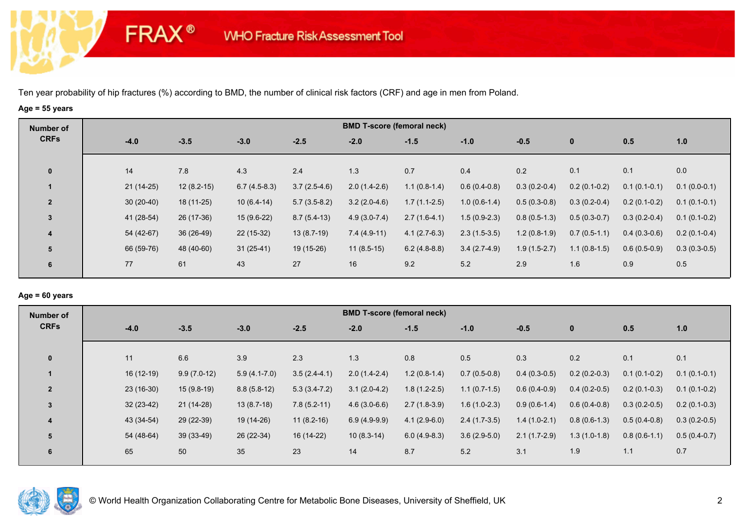**FRAX®** 

## **Age = 55 years**

| Number of      |             |              |                |                |                | <b>BMD T-score (femoral neck)</b> |                |                |                |                |                |
|----------------|-------------|--------------|----------------|----------------|----------------|-----------------------------------|----------------|----------------|----------------|----------------|----------------|
| <b>CRFs</b>    | $-4.0$      | $-3.5$       | $-3.0$         | $-2.5$         | $-2.0$         | $-1.5$                            | $-1.0$         | $-0.5$         | $\bf{0}$       | 0.5            | 1.0            |
| $\mathbf 0$    | 14          | 7.8          | 4.3            | 2.4            | 1.3            | 0.7                               | 0.4            | 0.2            | 0.1            | 0.1            | 0.0            |
|                | $21(14-25)$ | $12(8.2-15)$ | $6.7(4.5-8.3)$ | $3.7(2.5-4.6)$ | $2.0(1.4-2.6)$ | $1.1(0.8-1.4)$                    | $0.6(0.4-0.8)$ | $0.3(0.2-0.4)$ | $0.2(0.1-0.2)$ | $0.1(0.1-0.1)$ | $0.1(0.0-0.1)$ |
| $\overline{2}$ | $30(20-40)$ | 18 (11-25)   | $10(6.4-14)$   | $5.7(3.5-8.2)$ | $3.2(2.0-4.6)$ | $1.7(1.1-2.5)$                    | $1.0(0.6-1.4)$ | $0.5(0.3-0.8)$ | $0.3(0.2-0.4)$ | $0.2(0.1-0.2)$ | $0.1(0.1-0.1)$ |
| 3              | 41 (28-54)  | 26 (17-36)   | $15(9.6-22)$   | $8.7(5.4-13)$  | $4.9(3.0-7.4)$ | $2.7(1.6-4.1)$                    | $1.5(0.9-2.3)$ | $0.8(0.5-1.3)$ | $0.5(0.3-0.7)$ | $0.3(0.2-0.4)$ | $0.1(0.1-0.2)$ |
| 4              | 54 (42-67)  | 36 (26-49)   | $22(15-32)$    | $13(8.7-19)$   | $7.4(4.9-11)$  | $4.1(2.7-6.3)$                    | $2.3(1.5-3.5)$ | $1.2(0.8-1.9)$ | $0.7(0.5-1.1)$ | $0.4(0.3-0.6)$ | $0.2(0.1-0.4)$ |
| 5              | 66 (59-76)  | 48 (40-60)   | $31(25-41)$    | 19 (15-26)     | $11(8.5-15)$   | $6.2(4.8-8.8)$                    | $3.4(2.7-4.9)$ | $1.9(1.5-2.7)$ | $1.1(0.8-1.5)$ | $0.6(0.5-0.9)$ | $0.3(0.3-0.5)$ |
| 6              | 77          | 61           | 43             | 27             | 16             | 9.2                               | 5.2            | 2.9            | 1.6            | 0.9            | 0.5            |

## **Age = 60 years**

| Number of      |             |               |                |                | <b>BMD T-score (femoral neck)</b> |                |                |                |                |                |                |
|----------------|-------------|---------------|----------------|----------------|-----------------------------------|----------------|----------------|----------------|----------------|----------------|----------------|
| <b>CRFs</b>    | $-4.0$      | $-3.5$        | $-3.0$         | $-2.5$         | $-2.0$                            | $-1.5$         | $-1.0$         | $-0.5$         | $\mathbf{0}$   | 0.5            | 1.0            |
| $\mathbf{0}$   | 11          | 6.6           | 3.9            | 2.3            | 1.3                               | 0.8            | 0.5            | 0.3            | 0.2            | 0.1            | 0.1            |
|                | 16 (12-19)  | $9.9(7.0-12)$ | $5.9(4.1-7.0)$ | $3.5(2.4-4.1)$ | $2.0(1.4-2.4)$                    | $1.2(0.8-1.4)$ | $0.7(0.5-0.8)$ | $0.4(0.3-0.5)$ | $0.2(0.2-0.3)$ | $0.1(0.1-0.2)$ | $0.1(0.1-0.1)$ |
| $\overline{2}$ | $23(16-30)$ | $15(9.8-19)$  | $8.8(5.8-12)$  | $5.3(3.4-7.2)$ | $3.1(2.0-4.2)$                    | $1.8(1.2-2.5)$ | $1.1(0.7-1.5)$ | $0.6(0.4-0.9)$ | $0.4(0.2-0.5)$ | $0.2(0.1-0.3)$ | $0.1(0.1-0.2)$ |
| 3              | $32(23-42)$ | $21(14-28)$   | $13(8.7-18)$   | $7.8(5.2-11)$  | $4.6(3.0-6.6)$                    | $2.7(1.8-3.9)$ | $1.6(1.0-2.3)$ | $0.9(0.6-1.4)$ | $0.6(0.4-0.8)$ | $0.3(0.2-0.5)$ | $0.2(0.1-0.3)$ |
| 4              | 43 (34-54)  | 29 (22-39)    | 19 (14-26)     | $11(8.2-16)$   | $6.9(4.9-9.9)$                    | $4.1(2.9-6.0)$ | $2.4(1.7-3.5)$ | $1.4(1.0-2.1)$ | $0.8(0.6-1.3)$ | $0.5(0.4-0.8)$ | $0.3(0.2-0.5)$ |
| 5              | 54 (48-64)  | $39(33-49)$   | 26 (22-34)     | 16 (14-22)     | $10(8.3-14)$                      | $6.0(4.9-8.3)$ | $3.6(2.9-5.0)$ | $2.1(1.7-2.9)$ | $1.3(1.0-1.8)$ | $0.8(0.6-1.1)$ | $0.5(0.4-0.7)$ |
| 6              | 65          | 50            | 35             | 23             | 14                                | 8.7            | 5.2            | 3.1            | 1.9            | 1.1            | 0.7            |

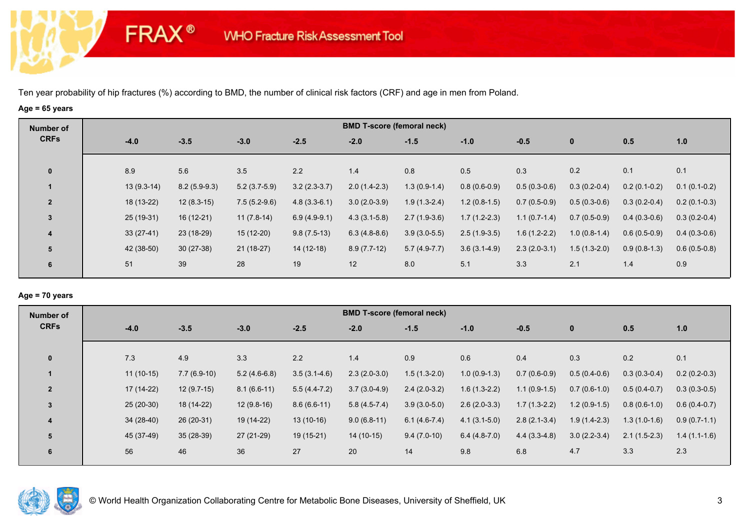**FRAX®** 

# **Age = 65 years**

| Number of               |              |                |                |                | <b>BMD T-score (femoral neck)</b> |                |                |                |                |                |                |
|-------------------------|--------------|----------------|----------------|----------------|-----------------------------------|----------------|----------------|----------------|----------------|----------------|----------------|
| <b>CRFs</b>             | $-4.0$       | $-3.5$         | $-3.0$         | $-2.5$         | $-2.0$                            | $-1.5$         | $-1.0$         | $-0.5$         | $\mathbf{0}$   | 0.5            | 1.0            |
| $\mathbf 0$             | 8.9          | 5.6            | 3.5            | 2.2            | 1.4                               | 0.8            | 0.5            | 0.3            | 0.2            | 0.1            | 0.1            |
|                         | $13(9.3-14)$ | $8.2(5.9-9.3)$ | $5.2(3.7-5.9)$ | $3.2(2.3-3.7)$ | $2.0(1.4-2.3)$                    | $1.3(0.9-1.4)$ | $0.8(0.6-0.9)$ | $0.5(0.3-0.6)$ | $0.3(0.2-0.4)$ | $0.2(0.1-0.2)$ | $0.1(0.1-0.2)$ |
| $\overline{2}$          | 18 (13-22)   | $12(8.3-15)$   | $7.5(5.2-9.6)$ | $4.8(3.3-6.1)$ | $3.0(2.0-3.9)$                    | $1.9(1.3-2.4)$ | $1.2(0.8-1.5)$ | $0.7(0.5-0.9)$ | $0.5(0.3-0.6)$ | $0.3(0.2-0.4)$ | $0.2(0.1-0.3)$ |
| $\mathbf{3}$            | 25 (19-31)   | $16(12-21)$    | $11(7.8-14)$   | $6.9(4.9-9.1)$ | $4.3(3.1-5.8)$                    | $2.7(1.9-3.6)$ | $1.7(1.2-2.3)$ | $1.1(0.7-1.4)$ | $0.7(0.5-0.9)$ | $0.4(0.3-0.6)$ | $0.3(0.2-0.4)$ |
| $\overline{\mathbf{4}}$ | $33(27-41)$  | 23 (18-29)     | 15 (12-20)     | $9.8(7.5-13)$  | $6.3(4.8-8.6)$                    | $3.9(3.0-5.5)$ | $2.5(1.9-3.5)$ | $1.6(1.2-2.2)$ | $1.0(0.8-1.4)$ | $0.6(0.5-0.9)$ | $0.4(0.3-0.6)$ |
| 5                       | 42 (38-50)   | $30(27-38)$    | $21(18-27)$    | $14(12-18)$    | $8.9(7.7-12)$                     | $5.7(4.9-7.7)$ | $3.6(3.1-4.9)$ | $2.3(2.0-3.1)$ | $1.5(1.3-2.0)$ | $0.9(0.8-1.3)$ | $0.6(0.5-0.8)$ |
| 6                       | 51           | 39             | 28             | 19             | 12                                | 8.0            | 5.1            | 3.3            | 2.1            | 1.4            | 0.9            |

### **Age = 70 years**

| Number of      |             |               |                |                  | <b>BMD T-score (femoral neck)</b> |                |                |                |                |                |                |
|----------------|-------------|---------------|----------------|------------------|-----------------------------------|----------------|----------------|----------------|----------------|----------------|----------------|
| <b>CRFs</b>    | $-4.0$      | $-3.5$        | $-3.0$         | $-2.5$           | $-2.0$                            | $-1.5$         | $-1.0$         | $-0.5$         | $\mathbf 0$    | 0.5            | 1.0            |
| $\mathbf{0}$   | 7.3         | 4.9           | 3.3            | 2.2              | 1.4                               | 0.9            | 0.6            | 0.4            | 0.3            | 0.2            | 0.1            |
|                | $11(10-15)$ | $7.7(6.9-10)$ | $5.2(4.6-6.8)$ | $3.5(3.1 - 4.6)$ | $2.3(2.0-3.0)$                    | $1.5(1.3-2.0)$ | $1.0(0.9-1.3)$ | $0.7(0.6-0.9)$ | $0.5(0.4-0.6)$ | $0.3(0.3-0.4)$ | $0.2(0.2-0.3)$ |
| $\overline{2}$ | 17 (14-22)  | $12(9.7-15)$  | $8.1(6.6-11)$  | $5.5(4.4-7.2)$   | $3.7(3.0-4.9)$                    | $2.4(2.0-3.2)$ | $1.6(1.3-2.2)$ | $1.1(0.9-1.5)$ | $0.7(0.6-1.0)$ | $0.5(0.4-0.7)$ | $0.3(0.3-0.5)$ |
| 3              | $25(20-30)$ | 18 (14-22)    | $12(9.8-16)$   | $8.6(6.6-11)$    | $5.8(4.5-7.4)$                    | $3.9(3.0-5.0)$ | $2.6(2.0-3.3)$ | $1.7(1.3-2.2)$ | $1.2(0.9-1.5)$ | $0.8(0.6-1.0)$ | $0.6(0.4-0.7)$ |
| 4              | $34(28-40)$ | 26 (20-31)    | 19 (14-22)     | $13(10-16)$      | $9.0(6.8-11)$                     | $6.1(4.6-7.4)$ | $4.1(3.1-5.0)$ | $2.8(2.1-3.4)$ | $1.9(1.4-2.3)$ | $1.3(1.0-1.6)$ | $0.9(0.7-1.1)$ |
| 5              | 45 (37-49)  | $35(28-39)$   | 27 (21-29)     | $19(15-21)$      | $14(10-15)$                       | $9.4(7.0-10)$  | $6.4(4.8-7.0)$ | $4.4(3.3-4.8)$ | $3.0(2.2-3.4)$ | $2.1(1.5-2.3)$ | $1.4(1.1-1.6)$ |
| 6              | 56          | 46            | 36             | 27               | 20                                | 14             | 9.8            | 6.8            | 4.7            | 3.3            | 2.3            |

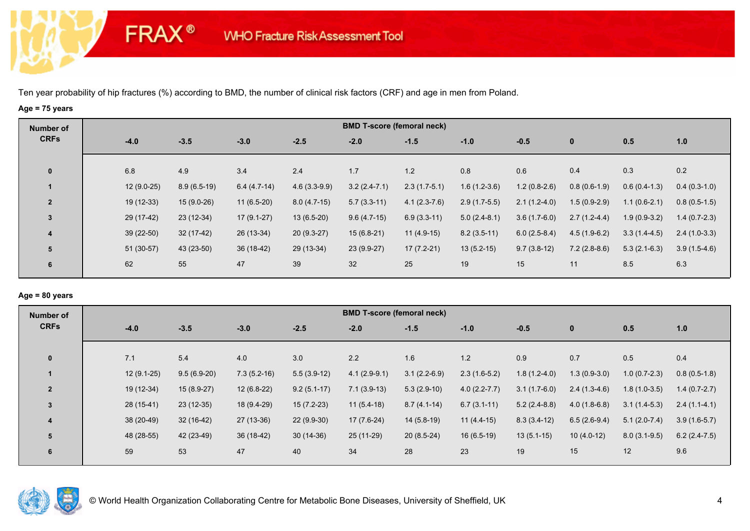**FRAX®** 

# **Age = 75 years**

| Number of      |             |               |               |                | <b>BMD T-score (femoral neck)</b> |                |                |                |                |                |                |
|----------------|-------------|---------------|---------------|----------------|-----------------------------------|----------------|----------------|----------------|----------------|----------------|----------------|
| <b>CRFs</b>    | $-4.0$      | $-3.5$        | $-3.0$        | $-2.5$         | $-2.0$                            | $-1.5$         | $-1.0$         | $-0.5$         | $\mathbf 0$    | 0.5            | 1.0            |
|                |             |               |               |                |                                   |                |                |                |                |                |                |
| $\mathbf 0$    | 6.8         | 4.9           | 3.4           | 2.4            | 1.7                               | 1.2            | 0.8            | 0.6            | 0.4            | 0.3            | 0.2            |
|                | 12 (9.0-25) | $8.9(6.5-19)$ | $6.4(4.7-14)$ | $4.6(3.3-9.9)$ | $3.2(2.4-7.1)$                    | $2.3(1.7-5.1)$ | $1.6(1.2-3.6)$ | $1.2(0.8-2.6)$ | $0.8(0.6-1.9)$ | $0.6(0.4-1.3)$ | $0.4(0.3-1.0)$ |
| $\overline{2}$ | 19 (12-33)  | $15(9.0-26)$  | $11(6.5-20)$  | $8.0(4.7-15)$  | $5.7(3.3-11)$                     | $4.1(2.3-7.6)$ | $2.9(1.7-5.5)$ | $2.1(1.2-4.0)$ | $1.5(0.9-2.9)$ | $1.1(0.6-2.1)$ | $0.8(0.5-1.5)$ |
| 3              | 29 (17-42)  | $23(12-34)$   | $17(9.1-27)$  | $13(6.5-20)$   | $9.6(4.7-15)$                     | $6.9(3.3-11)$  | $5.0(2.4-8.1)$ | $3.6(1.7-6.0)$ | $2.7(1.2-4.4)$ | $1.9(0.9-3.2)$ | $1.4(0.7-2.3)$ |
| 4              | $39(22-50)$ | $32(17-42)$   | 26 (13-34)    | $20(9.3-27)$   | $15(6.8-21)$                      | $11(4.9-15)$   | $8.2(3.5-11)$  | $6.0(2.5-8.4)$ | $4.5(1.9-6.2)$ | $3.3(1.4-4.5)$ | $2.4(1.0-3.3)$ |
| 5              | $51(30-57)$ | 43 (23-50)    | 36 (18-42)    | 29 (13-34)     | 23 (9.9-27)                       | $17(7.2-21)$   | $13(5.2-15)$   | $9.7(3.8-12)$  | $7.2(2.8-8.6)$ | $5.3(2.1-6.3)$ | $3.9(1.5-4.6)$ |
| 6              | 62          | 55            | 47            | 39             | 32                                | 25             | 19             | 15             | 11             | 8.5            | 6.3            |
|                |             |               |               |                |                                   |                |                |                |                |                |                |

### **Age = 80 years**

| Number of      |        |              |               |               |               | <b>BMD T-score (femoral neck)</b> |                |                  |                |                |                |                |
|----------------|--------|--------------|---------------|---------------|---------------|-----------------------------------|----------------|------------------|----------------|----------------|----------------|----------------|
| <b>CRFs</b>    | $-4.0$ |              | $-3.5$        | $-3.0$        | $-2.5$        | $-2.0$                            | $-1.5$         | $-1.0$           | $-0.5$         | $\mathbf 0$    | 0.5            | 1.0            |
| $\mathbf{0}$   | 7.1    |              | 5.4           | 4.0           | 3.0           | 2.2                               | 1.6            | 1.2              | 0.9            | 0.7            | 0.5            | 0.4            |
|                |        | $12(9.1-25)$ | $9.5(6.9-20)$ | $7.3(5.2-16)$ | $5.5(3.9-12)$ | $4.1(2.9-9.1)$                    | $3.1(2.2-6.9)$ | $2.3(1.6-5.2)$   | $1.8(1.2-4.0)$ | $1.3(0.9-3.0)$ | $1.0(0.7-2.3)$ | $0.8(0.5-1.8)$ |
| $\overline{2}$ |        | 19 (12-34)   | $15(8.9-27)$  | $12(6.8-22)$  | $9.2(5.1-17)$ | $7.1(3.9-13)$                     | $5.3(2.9-10)$  | $4.0(2.2 - 7.7)$ | $3.1(1.7-6.0)$ | $2.4(1.3-4.6)$ | $1.8(1.0-3.5)$ | $1.4(0.7-2.7)$ |
| $\overline{3}$ |        | 28 (15-41)   | $23(12-35)$   | 18 (9.4-29)   | $15(7.2-23)$  | $11(5.4-18)$                      | $8.7(4.1-14)$  | $6.7(3.1-11)$    | $5.2(2.4-8.8)$ | $4.0(1.8-6.8)$ | $3.1(1.4-5.3)$ | $2.4(1.1-4.1)$ |
| 4              |        | 38 (20-49)   | $32(16-42)$   | 27 (13-36)    | $22(9.9-30)$  | $17(7.6-24)$                      | $14(5.8-19)$   | $11(4.4-15)$     | $8.3(3.4-12)$  | $6.5(2.6-9.4)$ | $5.1(2.0-7.4)$ | $3.9(1.6-5.7)$ |
| 5              |        | 48 (28-55)   | 42 (23-49)    | $36(18-42)$   | $30(14-36)$   | 25 (11-29)                        | $20(8.5-24)$   | $16(6.5-19)$     | $13(5.1-15)$   | $10(4.0-12)$   | $8.0(3.1-9.5)$ | $6.2(2.4-7.5)$ |
| 6              | 59     |              | 53            | 47            | 40            | 34                                | 28             | 23               | 19             | 15             | 12             | 9.6            |